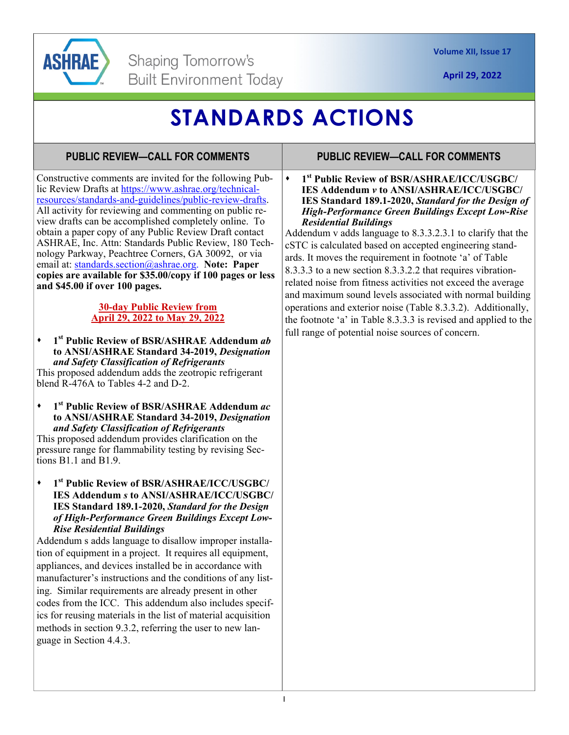

# **STANDARDS ACTIONS**

### **PUBLIC REVIEW—CALL FOR COMMENTS**

Constructive comments are invited for the following Public Review Drafts at https://www.ashrae.org/technicalresources/standards-and-guidelines/public-review-drafts. All activity for reviewing and commenting on public review drafts can be accomplished completely online. To obtain a paper copy of any Public Review Draft contact ASHRAE, Inc. Attn: Standards Public Review, 180 Technology Parkway, Peachtree Corners, GA 30092, or via email at: standards.section@ashrae.org. **Note: Paper copies are available for \$35.00/copy if 100 pages or less and \$45.00 if over 100 pages.** 

#### **30-day Public Review from April 29, 2022 to May 29, 2022**

**1st Public Review of BSR/ASHRAE Addendum** *ab* **to ANSI/ASHRAE Standard 34-2019,** *Designation and Safety Classification of Refrigerants* 

This proposed addendum adds the zeotropic refrigerant blend R-476A to Tables 4-2 and D-2.

**1st Public Review of BSR/ASHRAE Addendum** *ac* **to ANSI/ASHRAE Standard 34-2019,** *Designation and Safety Classification of Refrigerants* 

This proposed addendum provides clarification on the pressure range for flammability testing by revising Sections B1.1 and B1.9.

**1st Public Review of BSR/ASHRAE/ICC/USGBC/ IES Addendum** *s* **to ANSI/ASHRAE/ICC/USGBC/ IES Standard 189.1-2020,** *Standard for the Design of High-Performance Green Buildings Except Low-Rise Residential Buildings* 

Addendum s adds language to disallow improper installation of equipment in a project. It requires all equipment, appliances, and devices installed be in accordance with manufacturer's instructions and the conditions of any listing. Similar requirements are already present in other codes from the ICC. This addendum also includes specifics for reusing materials in the list of material acquisition methods in section 9.3.2, referring the user to new language in Section 4.4.3.

#### **PUBLIC REVIEW—CALL FOR COMMENTS**

**1st Public Review of BSR/ASHRAE/ICC/USGBC/ IES Addendum** *v* **to ANSI/ASHRAE/ICC/USGBC/ IES Standard 189.1-2020,** *Standard for the Design of High-Performance Green Buildings Except Low-Rise Residential Buildings* 

Addendum v adds language to 8.3.3.2.3.1 to clarify that the cSTC is calculated based on accepted engineering standards. It moves the requirement in footnote 'a' of Table 8.3.3.3 to a new section 8.3.3.2.2 that requires vibrationrelated noise from fitness activities not exceed the average and maximum sound levels associated with normal building operations and exterior noise (Table 8.3.3.2). Additionally, the footnote 'a' in Table 8.3.3.3 is revised and applied to the full range of potential noise sources of concern.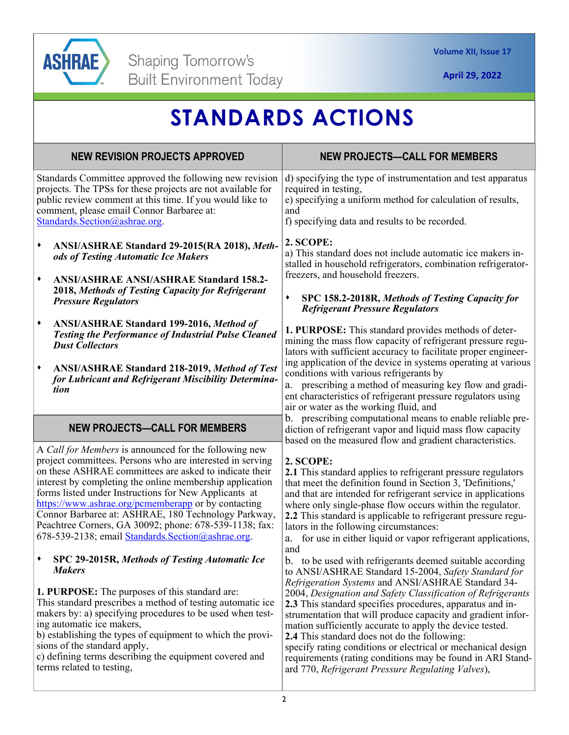

| <b>STANDARDS ACTIONS</b>                                                                                                                                                                                                                                                                                                                                                                                                                                                                                                        |                                                                                                                                                                                                                                                                                                                                                                                                                                                                                                                                                                                                                                                                           |
|---------------------------------------------------------------------------------------------------------------------------------------------------------------------------------------------------------------------------------------------------------------------------------------------------------------------------------------------------------------------------------------------------------------------------------------------------------------------------------------------------------------------------------|---------------------------------------------------------------------------------------------------------------------------------------------------------------------------------------------------------------------------------------------------------------------------------------------------------------------------------------------------------------------------------------------------------------------------------------------------------------------------------------------------------------------------------------------------------------------------------------------------------------------------------------------------------------------------|
| <b>NEW REVISION PROJECTS APPROVED</b>                                                                                                                                                                                                                                                                                                                                                                                                                                                                                           | <b>NEW PROJECTS-CALL FOR MEMBERS</b>                                                                                                                                                                                                                                                                                                                                                                                                                                                                                                                                                                                                                                      |
| Standards Committee approved the following new revision<br>projects. The TPSs for these projects are not available for<br>public review comment at this time. If you would like to<br>comment, please email Connor Barbaree at:<br>Standards.Section@ashrae.org.                                                                                                                                                                                                                                                                | d) specifying the type of instrumentation and test apparatus<br>required in testing,<br>e) specifying a uniform method for calculation of results,<br>and<br>f) specifying data and results to be recorded.                                                                                                                                                                                                                                                                                                                                                                                                                                                               |
| ٠<br>ANSI/ASHRAE Standard 29-2015(RA 2018), Meth-<br>ods of Testing Automatic Ice Makers<br>٠<br><b>ANSI/ASHRAE ANSI/ASHRAE Standard 158.2-</b><br>2018, Methods of Testing Capacity for Refrigerant<br><b>Pressure Regulators</b>                                                                                                                                                                                                                                                                                              | 2. SCOPE:<br>a) This standard does not include automatic ice makers in-<br>stalled in household refrigerators, combination refrigerator-<br>freezers, and household freezers.<br>SPC 158.2-2018R, Methods of Testing Capacity for<br>٠<br><b>Refrigerant Pressure Regulators</b>                                                                                                                                                                                                                                                                                                                                                                                          |
| <b>ANSI/ASHRAE Standard 199-2016, Method of</b><br>٠<br><b>Testing the Performance of Industrial Pulse Cleaned</b><br><b>Dust Collectors</b><br>ANSI/ASHRAE Standard 218-2019, Method of Test<br>٠<br>for Lubricant and Refrigerant Miscibility Determina-<br>tion                                                                                                                                                                                                                                                              | 1. PURPOSE: This standard provides methods of deter-<br>mining the mass flow capacity of refrigerant pressure regu-<br>lators with sufficient accuracy to facilitate proper engineer-<br>ing application of the device in systems operating at various<br>conditions with various refrigerants by<br>prescribing a method of measuring key flow and gradi-<br>a.<br>ent characteristics of refrigerant pressure regulators using<br>air or water as the working fluid, and                                                                                                                                                                                                |
| <b>NEW PROJECTS-CALL FOR MEMBERS</b>                                                                                                                                                                                                                                                                                                                                                                                                                                                                                            | b. prescribing computational means to enable reliable pre-<br>diction of refrigerant vapor and liquid mass flow capacity<br>based on the measured flow and gradient characteristics.                                                                                                                                                                                                                                                                                                                                                                                                                                                                                      |
| A Call for Members is announced for the following new<br>project committees. Persons who are interested in serving<br>on these ASHRAE committees are asked to indicate their<br>interest by completing the online membership application<br>forms listed under Instructions for New Applicants at<br>https://www.ashrae.org/pcmemberapp or by contacting<br>Connor Barbaree at: ASHRAE, 180 Technology Parkway,<br>Peachtree Corners, GA 30092; phone: 678-539-1138; fax:<br>678-539-2138; email Standards. Section@ashrae.org. | 2. SCOPE:<br>2.1 This standard applies to refrigerant pressure regulators<br>that meet the definition found in Section 3, 'Definitions,'<br>and that are intended for refrigerant service in applications<br>where only single-phase flow occurs within the regulator.<br>2.2 This standard is applicable to refrigerant pressure regu-<br>lators in the following circumstances:<br>for use in either liquid or vapor refrigerant applications,<br>a.                                                                                                                                                                                                                    |
| SPC 29-2015R, Methods of Testing Automatic Ice<br>٠<br><b>Makers</b><br><b>1. PURPOSE:</b> The purposes of this standard are:<br>This standard prescribes a method of testing automatic ice<br>makers by: a) specifying procedures to be used when test-<br>ing automatic ice makers,<br>b) establishing the types of equipment to which the provi-<br>sions of the standard apply,<br>c) defining terms describing the equipment covered and<br>terms related to testing,                                                      | and<br>b. to be used with refrigerants deemed suitable according<br>to ANSI/ASHRAE Standard 15-2004, Safety Standard for<br>Refrigeration Systems and ANSI/ASHRAE Standard 34-<br>2004, Designation and Safety Classification of Refrigerants<br>2.3 This standard specifies procedures, apparatus and in-<br>strumentation that will produce capacity and gradient infor-<br>mation sufficiently accurate to apply the device tested.<br>2.4 This standard does not do the following:<br>specify rating conditions or electrical or mechanical design<br>requirements (rating conditions may be found in ARI Stand-<br>ard 770, Refrigerant Pressure Regulating Valves), |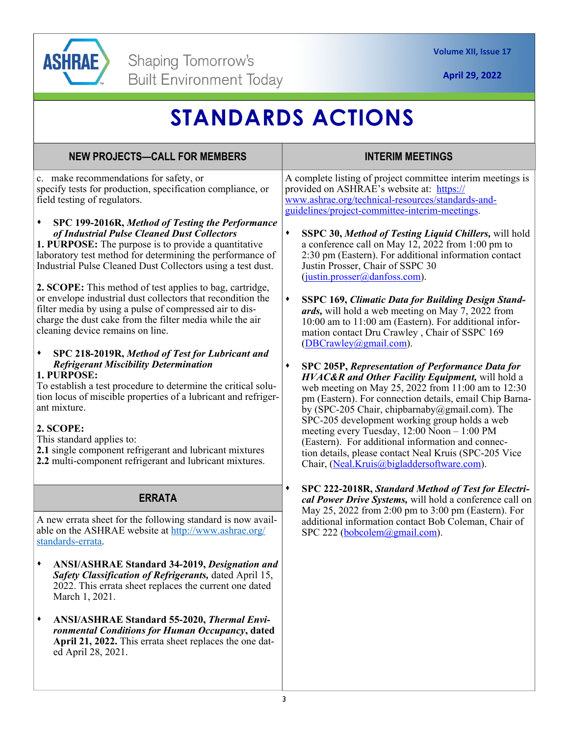

# **STANDARDS ACTIONS**

| c. make recommendations for safety, or<br>specify tests for production, specification compliance, or<br>field testing of regulators.<br>SPC 199-2016R, Method of Testing the Performance<br>٠<br>of Industrial Pulse Cleaned Dust Collectors<br><b>1. PURPOSE:</b> The purpose is to provide a quantitative<br>laboratory test method for determining the performance of<br>Industrial Pulse Cleaned Dust Collectors using a test dust.<br>2. SCOPE: This method of test applies to bag, cartridge,                                                                                                                                                              | A complete listing of project committee interim meetings is<br>provided on ASHRAE's website at: https://<br>www.ashrae.org/technical-resources/standards-and-<br>guidelines/project-committee-interim-meetings.<br>SSPC 30, Method of Testing Liquid Chillers, will hold<br>٠<br>a conference call on May 12, 2022 from 1:00 pm to<br>2:30 pm (Eastern). For additional information contact<br>Justin Prosser, Chair of SSPC 30<br>$(i$ ustin.prosser@danfoss.com).<br>$\blacklozenge$<br><b>SSPC 169, Climatic Data for Building Design Stand-</b><br>ards, will hold a web meeting on May 7, 2022 from<br>10:00 am to 11:00 am (Eastern). For additional infor-<br>mation contact Dru Crawley, Chair of SSPC 169 |
|------------------------------------------------------------------------------------------------------------------------------------------------------------------------------------------------------------------------------------------------------------------------------------------------------------------------------------------------------------------------------------------------------------------------------------------------------------------------------------------------------------------------------------------------------------------------------------------------------------------------------------------------------------------|--------------------------------------------------------------------------------------------------------------------------------------------------------------------------------------------------------------------------------------------------------------------------------------------------------------------------------------------------------------------------------------------------------------------------------------------------------------------------------------------------------------------------------------------------------------------------------------------------------------------------------------------------------------------------------------------------------------------|
| or envelope industrial dust collectors that recondition the<br>filter media by using a pulse of compressed air to dis-<br>charge the dust cake from the filter media while the air<br>cleaning device remains on line.<br>٠<br>SPC 218-2019R, Method of Test for Lubricant and<br><b>Refrigerant Miscibility Determination</b><br>1. PURPOSE:<br>To establish a test procedure to determine the critical solu-<br>tion locus of miscible properties of a lubricant and refriger-<br>ant mixture.<br>2. SCOPE:<br>This standard applies to:<br>2.1 single component refrigerant and lubricant mixtures<br>2.2 multi-component refrigerant and lubricant mixtures. | (DBCrawley@gmail.com).<br>SPC 205P, Representation of Performance Data for<br>٠<br>HVAC&R and Other Facility Equipment, will hold a<br>web meeting on May 25, 2022 from 11:00 am to 12:30<br>pm (Eastern). For connection details, email Chip Barna-<br>by (SPC-205 Chair, chipbarnaby@gmail.com). The<br>SPC-205 development working group holds a web<br>meeting every Tuesday, $12:00$ Noon $-1:00$ PM<br>(Eastern). For additional information and connec-<br>tion details, please contact Neal Kruis (SPC-205 Vice<br>Chair, (Neal.Kruis@bigladdersoftware.com).                                                                                                                                              |
| <b>ERRATA</b><br>A new errata sheet for the following standard is now avail-<br>able on the ASHRAE website at http://www.ashrae.org/<br>standards-errata.<br><b>ANSI/ASHRAE Standard 34-2019, Designation and</b><br>Safety Classification of Refrigerants, dated April 15,<br>2022. This errata sheet replaces the current one dated<br>March 1, 2021.<br><b>ANSI/ASHRAE Standard 55-2020, Thermal Envi-</b><br>٠<br>ronmental Conditions for Human Occupancy, dated<br>April 21, 2022. This errata sheet replaces the one dat-<br>ed April 28, 2021.                                                                                                           | SPC 222-2018R, Standard Method of Test for Electri-<br>٠<br>cal Power Drive Systems, will hold a conference call on<br>May 25, 2022 from 2:00 pm to 3:00 pm (Eastern). For<br>additional information contact Bob Coleman, Chair of<br>SPC 222 (bobcolem@gmail.com).                                                                                                                                                                                                                                                                                                                                                                                                                                                |